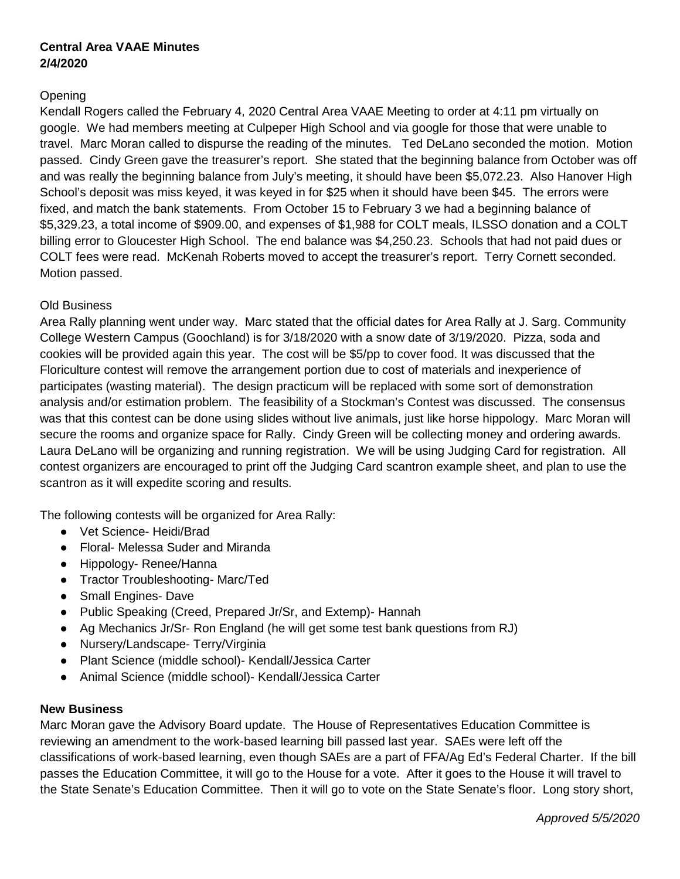## **Central Area VAAE Minutes 2/4/2020**

## Opening

Kendall Rogers called the February 4, 2020 Central Area VAAE Meeting to order at 4:11 pm virtually on google. We had members meeting at Culpeper High School and via google for those that were unable to travel. Marc Moran called to dispurse the reading of the minutes. Ted DeLano seconded the motion. Motion passed. Cindy Green gave the treasurer's report. She stated that the beginning balance from October was off and was really the beginning balance from July's meeting, it should have been \$5,072.23. Also Hanover High School's deposit was miss keyed, it was keyed in for \$25 when it should have been \$45. The errors were fixed, and match the bank statements. From October 15 to February 3 we had a beginning balance of \$5,329.23, a total income of \$909.00, and expenses of \$1,988 for COLT meals, ILSSO donation and a COLT billing error to Gloucester High School. The end balance was \$4,250.23. Schools that had not paid dues or COLT fees were read. McKenah Roberts moved to accept the treasurer's report. Terry Cornett seconded. Motion passed.

## Old Business

Area Rally planning went under way. Marc stated that the official dates for Area Rally at J. Sarg. Community College Western Campus (Goochland) is for 3/18/2020 with a snow date of 3/19/2020. Pizza, soda and cookies will be provided again this year. The cost will be \$5/pp to cover food. It was discussed that the Floriculture contest will remove the arrangement portion due to cost of materials and inexperience of participates (wasting material). The design practicum will be replaced with some sort of demonstration analysis and/or estimation problem. The feasibility of a Stockman's Contest was discussed. The consensus was that this contest can be done using slides without live animals, just like horse hippology. Marc Moran will secure the rooms and organize space for Rally. Cindy Green will be collecting money and ordering awards. Laura DeLano will be organizing and running registration. We will be using Judging Card for registration. All contest organizers are encouraged to print off the Judging Card scantron example sheet, and plan to use the scantron as it will expedite scoring and results.

The following contests will be organized for Area Rally:

- Vet Science- Heidi/Brad
- Floral- Melessa Suder and Miranda
- Hippology- Renee/Hanna
- Tractor Troubleshooting- Marc/Ted
- Small Engines- Dave
- Public Speaking (Creed, Prepared Jr/Sr, and Extemp)- Hannah
- Ag Mechanics Jr/Sr- Ron England (he will get some test bank questions from RJ)
- Nursery/Landscape- Terry/Virginia
- Plant Science (middle school)- Kendall/Jessica Carter
- Animal Science (middle school)- Kendall/Jessica Carter

## **New Business**

Marc Moran gave the Advisory Board update. The House of Representatives Education Committee is reviewing an amendment to the work-based learning bill passed last year. SAEs were left off the classifications of work-based learning, even though SAEs are a part of FFA/Ag Ed's Federal Charter. If the bill passes the Education Committee, it will go to the House for a vote. After it goes to the House it will travel to the State Senate's Education Committee. Then it will go to vote on the State Senate's floor. Long story short,